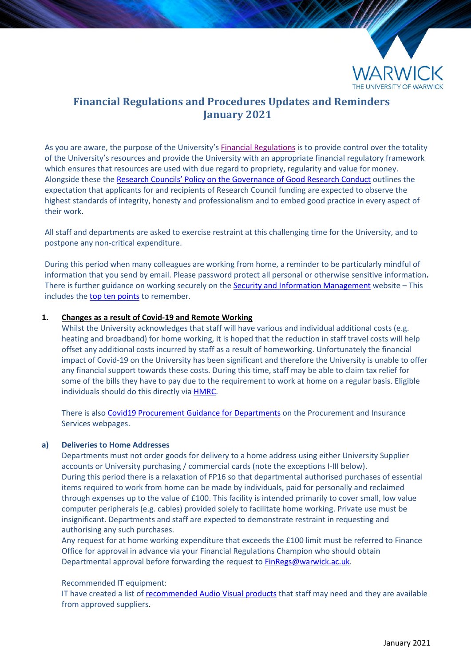

# **Financial Regulations and Procedures Updates and Reminders January 2021**

As you are aware, the purpose of the University's [Financial Regulations](http://www2.warwick.ac.uk/services/finance/finregproc/) is to provide control over the totality of the University's resources and provide the University with an appropriate financial regulatory framework which ensures that resources are used with due regard to propriety, regularity and value for money. Alongside these the [Research Councils' Policy on the Governance of Good Research Conduct](https://www.ukri.org/files/legacy/reviews/grc/rcuk-grp-policy-and-guidelines-updated-apr-17-2-pdf/) outlines the expectation that applicants for and recipients of Research Council funding are expected to observe the highest standards of integrity, honesty and professionalism and to embed good practice in every aspect of their work.

All staff and departments are asked to exercise restraint at this challenging time for the University, and to postpone any non-critical expenditure.

During this period when many colleagues are working from home, a reminder to be particularly mindful of information that you send by email. Please password protect all personal or otherwise sensitive information**.**  There is further guidance on working securely on the [Security and Information Management](https://warwick.ac.uk/services/sim/) website – This includes the [top ten points t](https://warwick.ac.uk/services/sim/guidance-and-assessment/summary)o remember.

#### **1. Changes as a result of Covid-19 and Remote Working**

Whilst the University acknowledges that staff will have various and individual additional costs (e.g. heating and broadband) for home working, it is hoped that the reduction in staff travel costs will help offset any additional costs incurred by staff as a result of homeworking. Unfortunately the financial impact of Covid-19 on the University has been significant and therefore the University is unable to offer any financial support towards these costs. During this time, staff may be able to claim tax relief for some of the bills they have to pay due to the requirement to work at home on a regular basis. Eligible individuals should do this directly vi[a HMRC.](https://www.gov.uk/tax-relief-for-employees/working-at-home)

There is also [Covid19 Procurement Guidance for Departments](https://warwick.ac.uk/services/finance/procurement_and_insurance/intcovid19) on the Procurement and Insurance Services webpages.

## **a) Deliveries to Home Addresses**

Departments must not order goods for delivery to a home address using either University Supplier accounts or University purchasing / commercial cards (note the exceptions I-III below). During this period there is a relaxation of FP16 so that departmental authorised purchases of essential items required to work from home can be made by individuals, paid for personally and reclaimed through expenses up to the value of £100. This facility is intended primarily to cover small, low value computer peripherals (e.g. cables) provided solely to facilitate home working. Private use must be insignificant. Departments and staff are expected to demonstrate restraint in requesting and authorising any such purchases.

Any request for at home working expenditure that exceeds the £100 limit must be referred to Finance Office for approval in advance via your [Financial Regulations Champion](https://warwick.ac.uk/services/finance/resources/finregs_champions) who should obtain Departmental approval before forwarding the request t[o FinRegs@warwick.ac.uk.](mailto:FinRegs@warwick.ac.uk)

#### Recommended IT equipment:

IT have created a list of [recommended Audio Visual products](https://warwick.ac.uk/services/its/servicessupport/av/recommendedav) that staff may need and they are available from approved suppliers.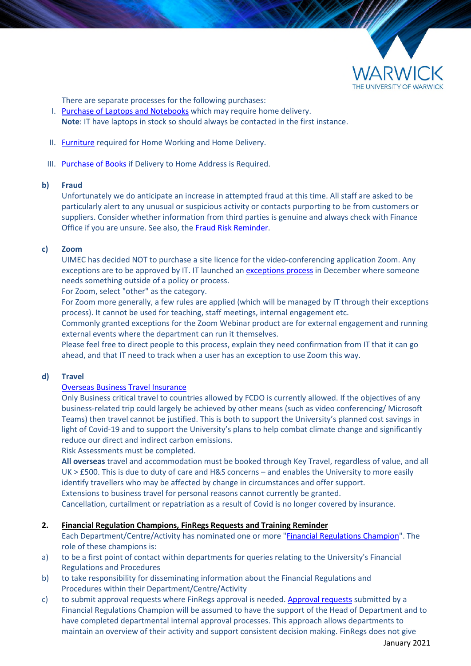

There are separate processes for the following purchases:

- I. [Purchase of Laptops and Notebooks](https://warwick.ac.uk/services/finance/procurement_and_insurance/intcovid19/#laptophome) which may require home delivery. **Note**: IT have laptops in stock so should always be contacted in the first instance.
- II. [Furniture](https://warwick.ac.uk/services/estates/service_centre/furniture/order/) required for Home Working and Home Delivery.
- III. [Purchase of Books](https://warwick.ac.uk/services/finance/procurement_and_insurance/intcovid19/#bookshome) if Delivery to Home Address is Required.

#### **b) Fraud**

Unfortunately we do anticipate an increase in attempted fraud at this time. All staff are asked to be particularly alert to any unusual or suspicious activity or contacts purporting to be from customers or suppliers. Consider whether information from third parties is genuine and always check with Finance Office if you are unsure. See also, the [Fraud Risk Reminder.](https://warwick.ac.uk/services/finance/covid-19/contacts)

#### **c) Zoom**

UIMEC has decided NOT to purchase a site licence for the video-conferencing application Zoom. Any exceptions are to be approved by IT. IT launched an [exceptions process](https://warwick.service-now.com/sp?id=sc_cat_item&sys_id=c291e95fdb88a89014eb49ee3b9619ae) in December where someone needs something outside of a policy or process.

For Zoom, select "other" as the category.

For Zoom more generally, a few rules are applied (which will be managed by IT through their exceptions process). It cannot be used for teaching, staff meetings, internal engagement etc.

Commonly granted exceptions for the Zoom Webinar product are for external engagement and running external events where the department can run it themselves.

Please feel free to direct people to this process, explain they need confirmation from IT that it can go ahead, and that IT need to track when a user has an exception to use Zoom this way.

# **d) Travel**

# [Overseas Business Travel Insurance](https://warwick.ac.uk/services/finance/insurance/keypolicies/traveloverseas)

Only Business critical travel to countries allowed by FCDO is currently allowed. If the objectives of any business-related trip could largely be achieved by other means (such as video conferencing/ Microsoft Teams) then travel cannot be justified. This is both to support the University's planned cost savings in light of Covid-19 and to support the University's plans to help combat climate change and significantly reduce our direct and indirect carbon emissions.

Risk Assessments must be completed.

**All overseas** travel and accommodation must be booked through Key Travel, regardless of value, and all UK > £500. This is due to duty of care and H&S concerns – and enables the University to more easily identify travellers who may be affected by change in circumstances and offer support. Extensions to business travel for personal reasons cannot currently be granted. Cancellation, curtailment or repatriation as a result of Covid is no longer covered by insurance.

## **2. Financial Regulation Champions, FinRegs Requests and Training Reminder**

Each Department/Centre/Activity has nominated one or more ["Financial Regulations Champion"](http://www2.warwick.ac.uk/services/finance/resources/finregs_champions). The role of these champions is:

- a) to be a first point of contact within departments for queries relating to the University's Financial Regulations and Procedures
- b) to take responsibility for disseminating information about the [Financial Regulations and](http://www2.warwick.ac.uk/services/finance/resources/regulations)  [Procedures](http://www2.warwick.ac.uk/services/finance/resources/regulations) within their Department/Centre/Activity
- c) to submit approval requests where FinRegs approval is needed. [Approval requests s](https://warwick.ac.uk/services/finance/finregproc/approvals_disclosures)ubmitted by a Financial Regulations Champion will be assumed to have the support of the Head of Department and to have completed departmental internal approval processes. This approach allows departments to maintain an overview of their activity and support consistent decision making. FinRegs does not give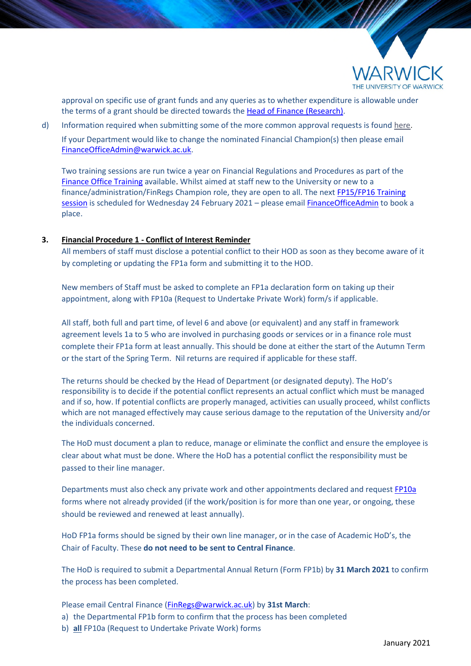

approval on specific use of grant funds and any queries as to whether expenditure is allowable under the terms of a grant should be directed towards the [Head of Finance \(Research\).](mailto:Y.L.Burrell@warwick.ac.uk)

d) Information required when submitting some of the more common approval requests is found [here.](https://warwick.ac.uk/services/finance/finregproc/finregs1516faqs) If your Department would like to change the nominated Financial Champion(s) then please email [FinanceOfficeAdmin@warwick.ac.uk.](mailto:FinanceOfficeAdmin@warwick.ac.uk)

Two training sessions are run twice a year on Financial Regulations and Procedures as part of the [Finance Office Training](https://warwick.ac.uk/services/finance/resources/fot) available. Whilst aimed at staff new to the University or new to a finance/administration/FinRegs Champion role, they are open to all. The next [FP15/FP16 Training](https://warwick.ac.uk/services/finance/resources/fot/financial_procedure_16_and_expenses/)  [session](https://warwick.ac.uk/services/finance/resources/fot/financial_procedure_16_and_expenses/) is scheduled for Wednesday 24 February 2021 - please email **FinanceOfficeAdmin** to book a place.

## **3. Financial Procedure 1 - Conflict of Interest Reminder**

All members of staff must disclose a potential conflict to their HOD as soon as they become aware of it by completing or updating the FP1a form and submitting it to the HOD.

New members of Staff must be asked to complete an FP1a declaration form on taking up their appointment, along with FP10a (Request to Undertake Private Work) form/s if applicable.

All staff, both full and part time, of level 6 and above (or equivalent) and any staff in framework agreement levels 1a to 5 who are involved in purchasing goods or services or in a finance role must complete their FP1a form at least annually. This should be done at either the start of the Autumn Term or the start of the Spring Term. Nil returns are required if applicable for these staff.

The returns should be checked by the Head of Department (or designated deputy). The HoD's responsibility is to decide if the potential conflict represents an actual conflict which must be managed and if so, how. If potential conflicts are properly managed, activities can usually proceed, whilst conflicts which are not managed effectively may cause serious damage to the reputation of the University and/or the individuals concerned.

The HoD must document a plan to reduce, manage or eliminate the conflict and ensure the employee is clear about what must be done. Where the HoD has a potential conflict the responsibility must be passed to their line manager.

Departments must also check any private work and other appointments declared and request [FP10a](https://warwick.ac.uk/services/finance/resources/regulations/fp10) forms where not already provided (if the work/position is for more than one year, or ongoing, these should be reviewed and renewed at least annually).

HoD FP1a forms should be signed by their own line manager, or in the case of Academic HoD's, the Chair of Faculty. These **do not need to be sent to Central Finance**.

The HoD is required to submit a Departmental Annual Return (Form FP1b) by **31 March 2021** to confirm the process has been completed.

Please email Central [Finance](mailto:fincompliance@warwick.ac.uk) [\(FinRegs@warwick.ac.uk\)](mailto:FinRegs@warwick.ac.uk) by **31st March**:

- a) the Departmental FP1b form to confirm that the process has been completed
- b) **all** FP10a (Request to Undertake Private Work) forms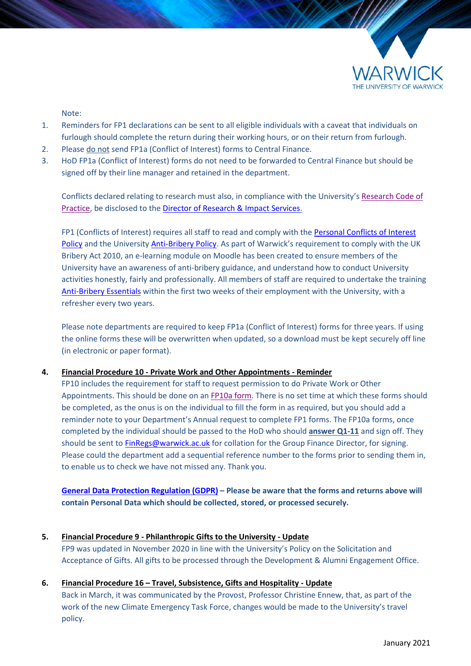

Note:

- 1. Reminders for FP1 declarations can be sent to all eligible individuals with a caveat that individuals on furlough should complete the return during their working hours, or on their return from furlough.
- 2. Please do not send FP1a (Conflict of Interest) forms to Central Finance.
- 3. HoD FP1a (Conflict of Interest) forms do not need to be forwarded to Central Finance but should be signed off by their line manager and retained in the department.

Conflicts declared relating to research must also, in compliance with the University's Research Code of [Practice,](http://www2.warwick.ac.uk/services/ris/research_integrity/code_of_practice_and_policies/research_code_of_practice) be disclosed to the [Director of Research & Impact Services.](mailto:c.a.cochrane@warwick.ac.uk)

FP1 (Conflicts of Interest) requires all staff to read and comply with the [Personal Conflicts of Interest](https://warwick.ac.uk/services/humanresources/internal/policies/conflictofinterest/personal_conflicts_of_interest_policy_2019.docx_-v3_003.pdf)  [Policy](https://warwick.ac.uk/services/humanresources/internal/policies/conflictofinterest/personal_conflicts_of_interest_policy_2019.docx_-v3_003.pdf) and the University [Anti-Bribery Policy.](http://www2.warwick.ac.uk/services/gov/university-policies/antibribery/background/) As part of Warwick's requirement to comply with the UK Bribery Act 2010, an e-learning module on Moodle has been created to ensure members of the University have an awareness of anti-bribery guidance, and understand how to conduct University activities honestly, fairly and professionally. All members of staff are required to undertake the training [Anti-Bribery Essentials](https://moodle.warwick.ac.uk/course/view.php?id=7227) within the first two weeks of their employment with the University, with a refresher every two years.

Please note departments are required to keep FP1a (Conflict of Interest) forms for three years. If using the online forms these will be overwritten when updated, so a download must be kept securely off line (in electronic or paper format).

## **4. [Financial Procedure 10 - Private Work and Other Appointments - Reminder](http://www2.warwick.ac.uk/services/finance/resources/regulations/fp10)**

FP10 includes the requirement for staff to request permission to do Private Work or Other Appointments. This should be done on a[n FP10a form.](http://www2.warwick.ac.uk/services/finance/resources/regulations/fp10) There is no set time at which these forms should be completed, as the onus is on the individual to fill the form in as required, but you should add a reminder note to your Department's Annual request to complete FP1 forms. The FP10a forms, once completed by the individual should be passed to the HoD who should **answer Q1-11** and sign off. They should be sent to [FinRegs@warwick.ac.uk f](mailto:FinRegs@warwick.ac.uk)or collation for the Group Finance Director, for signing. Please could the department add a sequential reference number to the forms prior to sending them in, to enable us to check we have not missed any. Thank you.

**[General Data Protection Regulation \(GDPR\)](https://warwick.ac.uk/services/vco/exec/registrar/legalservices/gdpr/) – Please be aware that the forms and returns above will contain Personal Data which should be collected, stored, or processed securely.** 

# **5. Financial Procedure 9 - Philanthropic Gifts to the University - Update**

FP9 was updated in November 2020 in line with the University's Policy on the Solicitation and Acceptance of Gifts. All gifts to be processed through the Development & Alumni Engagement Office.

## **6. Financial Procedure 16 – Travel, Subsistence, Gifts and Hospitality - Update**

Back in March, it was communicated by the Provost, Professor Christine Ennew, that, as part of the work of the new Climate Emergency Task Force, changes would be made to the University's travel policy.